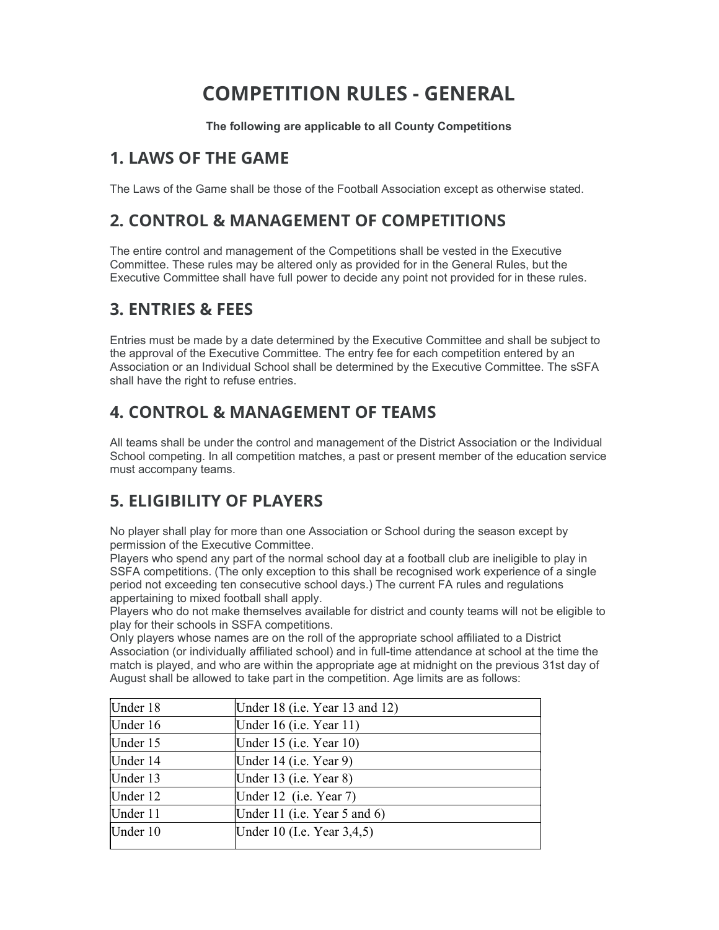# COMPETITION RULES - GENERAL

The following are applicable to all County Competitions

#### 1. LAWS OF THE GAME

The Laws of the Game shall be those of the Football Association except as otherwise stated.

#### 2. CONTROL & MANAGEMENT OF COMPETITIONS

The entire control and management of the Competitions shall be vested in the Executive Committee. These rules may be altered only as provided for in the General Rules, but the Executive Committee shall have full power to decide any point not provided for in these rules.

## 3. ENTRIES & FEES

Entries must be made by a date determined by the Executive Committee and shall be subject to the approval of the Executive Committee. The entry fee for each competition entered by an Association or an Individual School shall be determined by the Executive Committee. The sSFA shall have the right to refuse entries.

## 4. CONTROL & MANAGEMENT OF TEAMS

All teams shall be under the control and management of the District Association or the Individual School competing. In all competition matches, a past or present member of the education service must accompany teams.

## 5. ELIGIBILITY OF PLAYERS

No player shall play for more than one Association or School during the season except by permission of the Executive Committee.

Players who spend any part of the normal school day at a football club are ineligible to play in SSFA competitions. (The only exception to this shall be recognised work experience of a single period not exceeding ten consecutive school days.) The current FA rules and regulations appertaining to mixed football shall apply.

Players who do not make themselves available for district and county teams will not be eligible to play for their schools in SSFA competitions.

Only players whose names are on the roll of the appropriate school affiliated to a District Association (or individually affiliated school) and in full-time attendance at school at the time the match is played, and who are within the appropriate age at midnight on the previous 31st day of August shall be allowed to take part in the competition. Age limits are as follows:

| Under 18   | Under 18 (i.e. Year 13 and 12) |
|------------|--------------------------------|
| Under $16$ | Under $16$ (i.e. Year $11$ )   |
| Under $15$ | [Under $15$ (i.e. Year $10$ )  |
| Under 14   | Under $14$ (i.e. Year 9)       |
| Under 13   | [Under 13 (i.e. Year 8)        |
| Under 12   | Under $12$ (i.e. Year 7)       |
| Under 11   | Under 11 (i.e. Year 5 and 6)   |
| Under 10   | Under 10 (I.e. Year 3,4,5)     |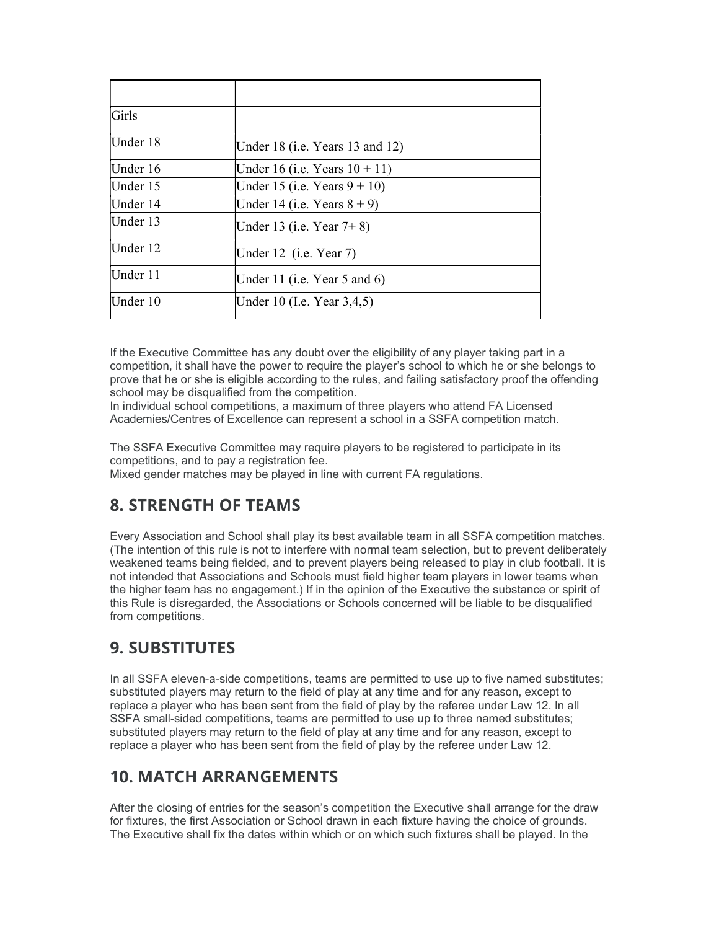| Girls      |                                  |
|------------|----------------------------------|
| Under 18   | Under 18 (i.e. Years 13 and 12)  |
| Under $16$ | Under 16 (i.e. Years $10 + 11$ ) |
| Under $15$ | Under 15 (i.e. Years $9 + 10$ )  |
| Under $14$ | Under 14 (i.e. Years $8 + 9$ )   |
| Under $13$ | Under 13 (i.e. Year 7+8)         |
| Under 12   | Under 12 (i.e. Year 7)           |
| Under 11   | Under 11 (i.e. Year 5 and 6)     |
| Under 10   | Under 10 (I.e. Year 3,4,5)       |

If the Executive Committee has any doubt over the eligibility of any player taking part in a competition, it shall have the power to require the player's school to which he or she belongs to prove that he or she is eligible according to the rules, and failing satisfactory proof the offending school may be disqualified from the competition.

In individual school competitions, a maximum of three players who attend FA Licensed Academies/Centres of Excellence can represent a school in a SSFA competition match.

The SSFA Executive Committee may require players to be registered to participate in its competitions, and to pay a registration fee. Mixed gender matches may be played in line with current FA regulations.

#### 8. STRENGTH OF TEAMS

Every Association and School shall play its best available team in all SSFA competition matches. (The intention of this rule is not to interfere with normal team selection, but to prevent deliberately weakened teams being fielded, and to prevent players being released to play in club football. It is not intended that Associations and Schools must field higher team players in lower teams when the higher team has no engagement.) If in the opinion of the Executive the substance or spirit of this Rule is disregarded, the Associations or Schools concerned will be liable to be disqualified from competitions.

## 9. SUBSTITUTES

In all SSFA eleven-a-side competitions, teams are permitted to use up to five named substitutes; substituted players may return to the field of play at any time and for any reason, except to replace a player who has been sent from the field of play by the referee under Law 12. In all SSFA small-sided competitions, teams are permitted to use up to three named substitutes; substituted players may return to the field of play at any time and for any reason, except to replace a player who has been sent from the field of play by the referee under Law 12.

## 10. MATCH ARRANGEMENTS

After the closing of entries for the season's competition the Executive shall arrange for the draw for fixtures, the first Association or School drawn in each fixture having the choice of grounds. The Executive shall fix the dates within which or on which such fixtures shall be played. In the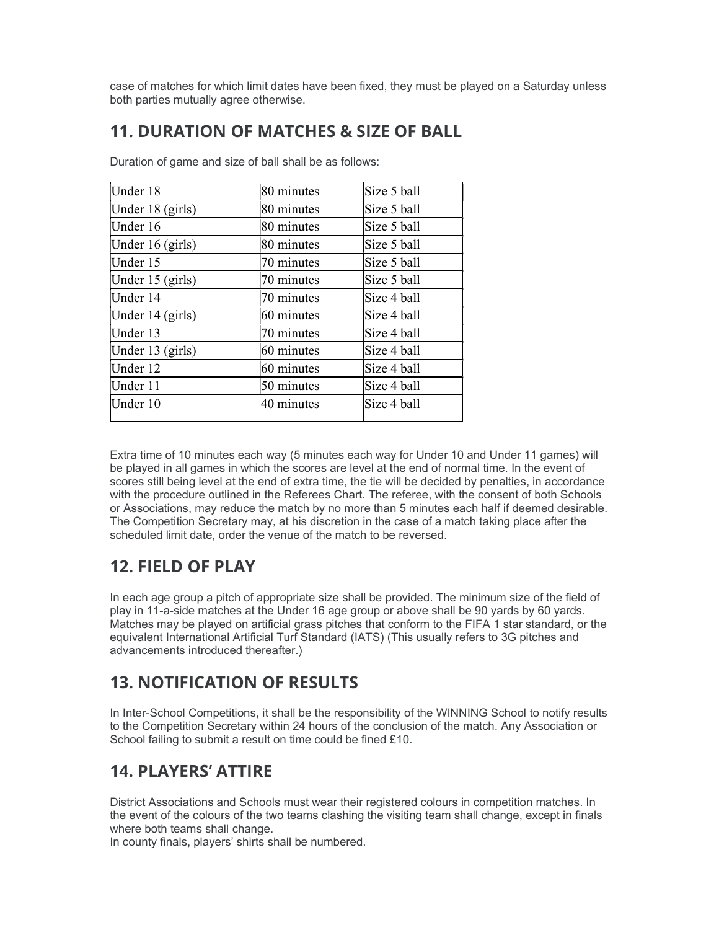case of matches for which limit dates have been fixed, they must be played on a Saturday unless both parties mutually agree otherwise.

#### 11. DURATION OF MATCHES & SIZE OF BALL

| Under 18         | 80 minutes | Size 5 ball |
|------------------|------------|-------------|
| Under 18 (girls) | 80 minutes | Size 5 ball |
| Under 16         | 80 minutes | Size 5 ball |
| Under 16 (girls) | 80 minutes | Size 5 ball |
| Under 15         | 70 minutes | Size 5 ball |
| Under 15 (girls) | 70 minutes | Size 5 ball |
| Under 14         | 70 minutes | Size 4 ball |
| Under 14 (girls) | 60 minutes | Size 4 ball |
| Under 13         | 70 minutes | Size 4 ball |
| Under 13 (girls) | 60 minutes | Size 4 ball |
| Under 12         | 60 minutes | Size 4 ball |
| Under 11         | 50 minutes | Size 4 ball |
| Under 10         | 40 minutes | Size 4 ball |
|                  |            |             |

Duration of game and size of ball shall be as follows:

Extra time of 10 minutes each way (5 minutes each way for Under 10 and Under 11 games) will be played in all games in which the scores are level at the end of normal time. In the event of scores still being level at the end of extra time, the tie will be decided by penalties, in accordance with the procedure outlined in the Referees Chart. The referee, with the consent of both Schools or Associations, may reduce the match by no more than 5 minutes each half if deemed desirable. The Competition Secretary may, at his discretion in the case of a match taking place after the scheduled limit date, order the venue of the match to be reversed.

## 12. FIELD OF PLAY

In each age group a pitch of appropriate size shall be provided. The minimum size of the field of play in 11-a-side matches at the Under 16 age group or above shall be 90 yards by 60 yards. Matches may be played on artificial grass pitches that conform to the FIFA 1 star standard, or the equivalent International Artificial Turf Standard (IATS) (This usually refers to 3G pitches and advancements introduced thereafter.)

## 13. NOTIFICATION OF RESULTS

In Inter-School Competitions, it shall be the responsibility of the WINNING School to notify results to the Competition Secretary within 24 hours of the conclusion of the match. Any Association or School failing to submit a result on time could be fined £10.

## 14. PLAYERS' ATTIRE

District Associations and Schools must wear their registered colours in competition matches. In the event of the colours of the two teams clashing the visiting team shall change, except in finals where both teams shall change.

In county finals, players' shirts shall be numbered.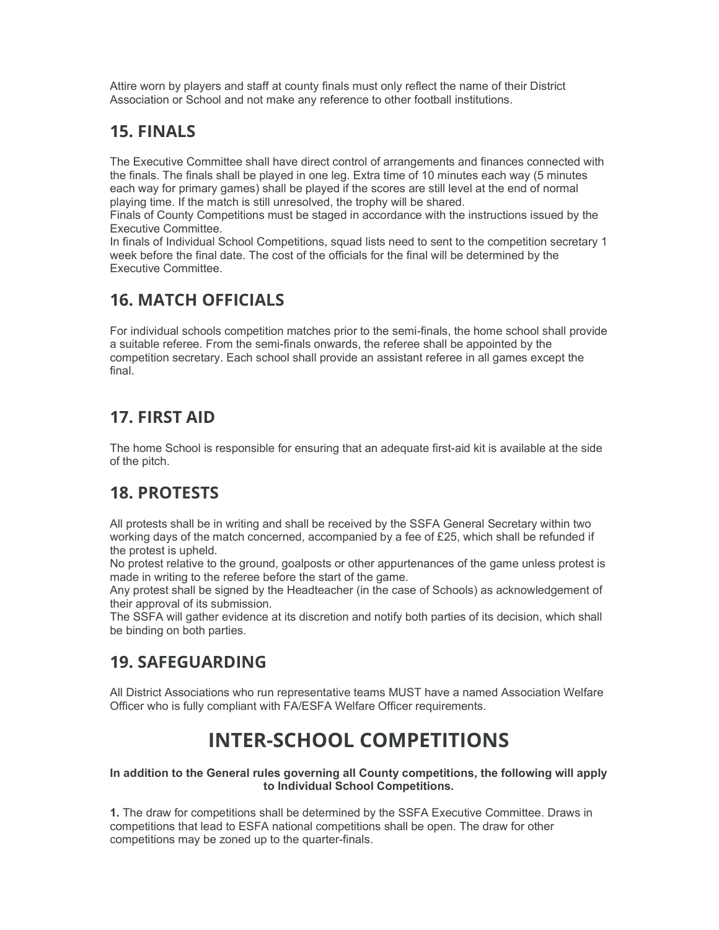Attire worn by players and staff at county finals must only reflect the name of their District Association or School and not make any reference to other football institutions.

#### 15. FINALS

The Executive Committee shall have direct control of arrangements and finances connected with the finals. The finals shall be played in one leg. Extra time of 10 minutes each way (5 minutes each way for primary games) shall be played if the scores are still level at the end of normal playing time. If the match is still unresolved, the trophy will be shared.

Finals of County Competitions must be staged in accordance with the instructions issued by the Executive Committee.

In finals of Individual School Competitions, squad lists need to sent to the competition secretary 1 week before the final date. The cost of the officials for the final will be determined by the Executive Committee.

## 16. MATCH OFFICIALS

For individual schools competition matches prior to the semi-finals, the home school shall provide a suitable referee. From the semi-finals onwards, the referee shall be appointed by the competition secretary. Each school shall provide an assistant referee in all games except the final.

## 17. FIRST AID

The home School is responsible for ensuring that an adequate first-aid kit is available at the side of the pitch.

## 18. PROTESTS

All protests shall be in writing and shall be received by the SSFA General Secretary within two working days of the match concerned, accompanied by a fee of £25, which shall be refunded if the protest is upheld.

No protest relative to the ground, goalposts or other appurtenances of the game unless protest is made in writing to the referee before the start of the game.

Any protest shall be signed by the Headteacher (in the case of Schools) as acknowledgement of their approval of its submission.

The SSFA will gather evidence at its discretion and notify both parties of its decision, which shall be binding on both parties.

## 19. SAFEGUARDING

All District Associations who run representative teams MUST have a named Association Welfare Officer who is fully compliant with FA/ESFA Welfare Officer requirements.

# INTER-SCHOOL COMPETITIONS

#### In addition to the General rules governing all County competitions, the following will apply to Individual School Competitions.

1. The draw for competitions shall be determined by the SSFA Executive Committee. Draws in competitions that lead to ESFA national competitions shall be open. The draw for other competitions may be zoned up to the quarter-finals.